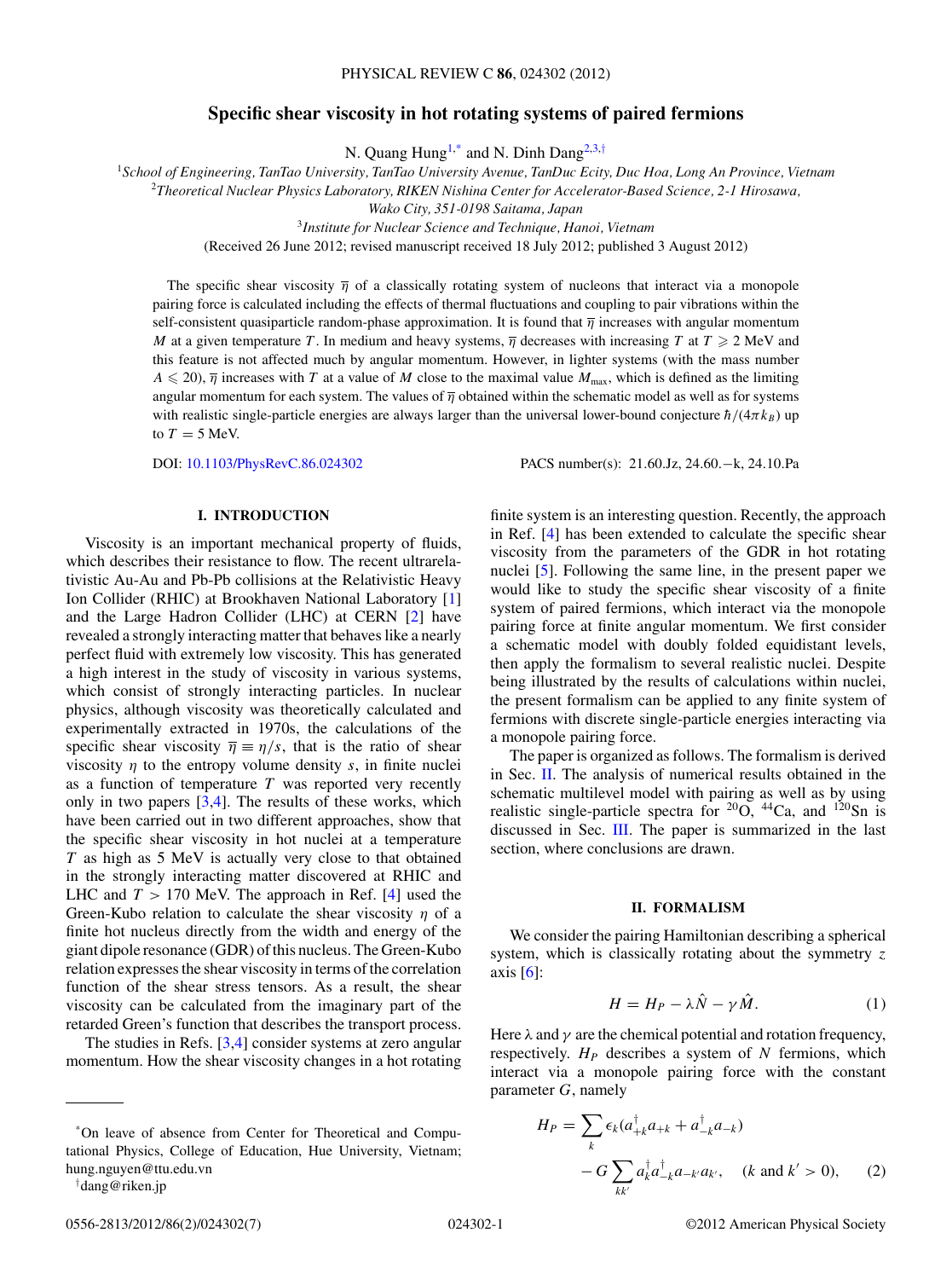# **Specific shear viscosity in hot rotating systems of paired fermions**

N. Quang Hung<sup>1,\*</sup> and N. Dinh Dang<sup>2,3,†</sup>

<span id="page-0-0"></span><sup>1</sup>*School of Engineering, TanTao University, TanTao University Avenue, TanDuc Ecity, Duc Hoa, Long An Province, Vietnam* <sup>2</sup>*Theoretical Nuclear Physics Laboratory, RIKEN Nishina Center for Accelerator-Based Science, 2-1 Hirosawa,*

*Wako City, 351-0198 Saitama, Japan*

<sup>3</sup>*Institute for Nuclear Science and Technique, Hanoi, Vietnam*

(Received 26 June 2012; revised manuscript received 18 July 2012; published 3 August 2012)

The specific shear viscosity  $\bar{\eta}$  of a classically rotating system of nucleons that interact via a monopole pairing force is calculated including the effects of thermal fluctuations and coupling to pair vibrations within the self-consistent quasiparticle random-phase approximation. It is found that *η* increases with angular momentum *M* at a given temperature *T*. In medium and heavy systems,  $\overline{\eta}$  decreases with increasing *T* at  $T \ge 2$  MeV and this feature is not affected much by angular momentum. However, in lighter systems (with the mass number  $A \leq 20$ ,  $\overline{\eta}$  increases with *T* at a value of *M* close to the maximal value  $M_{\text{max}}$ , which is defined as the limiting angular momentum for each system. The values of *η* obtained within the schematic model as well as for systems with realistic single-particle energies are always larger than the universal lower-bound conjecture  $\hbar/(4\pi k_B)$  up to  $T = 5$  MeV.

DOI: [10.1103/PhysRevC.86.024302](http://dx.doi.org/10.1103/PhysRevC.86.024302) PACS number(s): 21*.*60*.*Jz, 24*.*60*.*−k, 24*.*10*.*Pa

# **I. INTRODUCTION**

Viscosity is an important mechanical property of fluids, which describes their resistance to flow. The recent ultrarelativistic Au-Au and Pb-Pb collisions at the Relativistic Heavy Ion Collider (RHIC) at Brookhaven National Laboratory [\[1\]](#page-6-0) and the Large Hadron Collider (LHC) at CERN [\[2\]](#page-6-0) have revealed a strongly interacting matter that behaves like a nearly perfect fluid with extremely low viscosity. This has generated a high interest in the study of viscosity in various systems, which consist of strongly interacting particles. In nuclear physics, although viscosity was theoretically calculated and experimentally extracted in 1970s, the calculations of the specific shear viscosity  $\overline{\eta} = \eta/s$ , that is the ratio of shear viscosity  $\eta$  to the entropy volume density *s*, in finite nuclei as a function of temperature *T* was reported very recently only in two papers  $[3,4]$ . The results of these works, which have been carried out in two different approaches, show that the specific shear viscosity in hot nuclei at a temperature *T* as high as 5 MeV is actually very close to that obtained in the strongly interacting matter discovered at RHIC and LHC and  $T > 170$  MeV. The approach in Ref. [\[4\]](#page-6-0) used the Green-Kubo relation to calculate the shear viscosity *η* of a finite hot nucleus directly from the width and energy of the giant dipole resonance (GDR) of this nucleus. The Green-Kubo relation expresses the shear viscosity in terms of the correlation function of the shear stress tensors. As a result, the shear viscosity can be calculated from the imaginary part of the retarded Green's function that describes the transport process.

The studies in Refs. [\[3,4\]](#page-6-0) consider systems at zero angular momentum. How the shear viscosity changes in a hot rotating

finite system is an interesting question. Recently, the approach in Ref. [\[4\]](#page-6-0) has been extended to calculate the specific shear viscosity from the parameters of the GDR in hot rotating nuclei [\[5\]](#page-6-0). Following the same line, in the present paper we would like to study the specific shear viscosity of a finite system of paired fermions, which interact via the monopole pairing force at finite angular momentum. We first consider a schematic model with doubly folded equidistant levels, then apply the formalism to several realistic nuclei. Despite being illustrated by the results of calculations within nuclei, the present formalism can be applied to any finite system of fermions with discrete single-particle energies interacting via a monopole pairing force.

The paper is organized as follows. The formalism is derived in Sec. II. The analysis of numerical results obtained in the schematic multilevel model with pairing as well as by using realistic single-particle spectra for  $^{20}O$ ,  $^{44}Ca$ , and  $^{120}Sn$  is discussed in Sec. [III.](#page-3-0) The paper is summarized in the last section, where conclusions are drawn.

#### **II. FORMALISM**

We consider the pairing Hamiltonian describing a spherical system, which is classically rotating about the symmetry *z* axis  $[6]$ :

$$
H = H_P - \lambda \hat{N} - \gamma \hat{M}.
$$
 (1)

Here  $\lambda$  and  $\gamma$  are the chemical potential and rotation frequency, respectively.  $H_P$  describes a system of  $N$  fermions, which interact via a monopole pairing force with the constant parameter *G*, namely

$$
H_P = \sum_{k} \epsilon_k (a_{+k}^{\dagger} a_{+k} + a_{-k}^{\dagger} a_{-k})
$$

$$
-G \sum_{kk'} a_k^{\dagger} a_{-k}^{\dagger} a_{-k'} a_{k'}, \quad (k \text{ and } k' > 0), \qquad (2)
$$

<sup>\*</sup>On leave of absence from Center for Theoretical and Computational Physics, College of Education, Hue University, Vietnam; hung.nguyen@ttu.edu.vn

<sup>†</sup> dang@riken.jp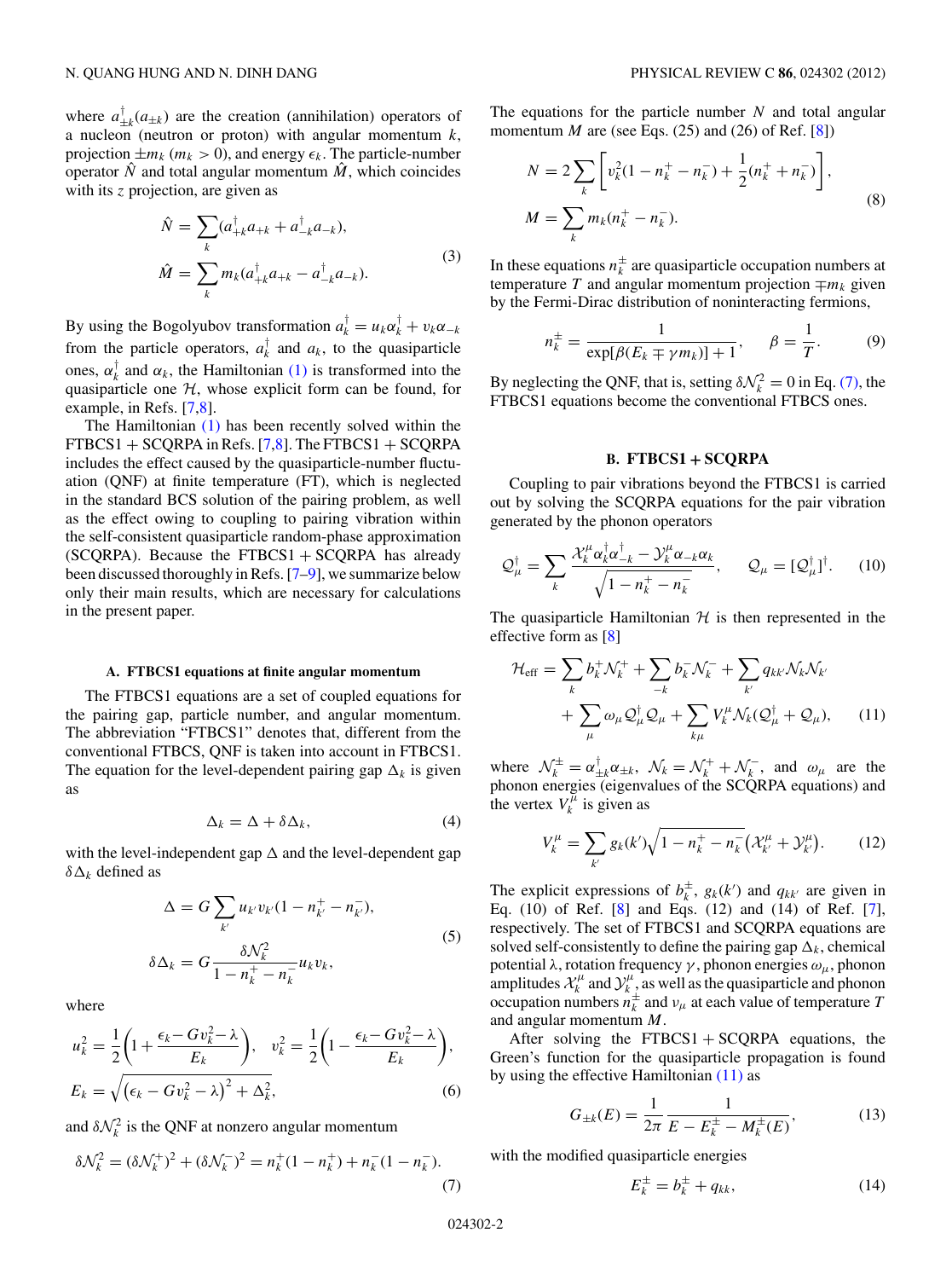<span id="page-1-0"></span>where  $a_{\pm k}^{\dagger}(a_{\pm k})$  are the creation (annihilation) operators of a nucleon (neutron or proton) with angular momentum *k*, projection  $\pm m_k$  ( $m_k > 0$ ), and energy  $\epsilon_k$ . The particle-number operator  $\hat{N}$  and total angular momentum  $\hat{M}$ , which coincides with its *z* projection, are given as

$$
\hat{N} = \sum_{k} (a_{+k}^{\dagger} a_{+k} + a_{-k}^{\dagger} a_{-k}),
$$
  
\n
$$
\hat{M} = \sum_{k} m_{k} (a_{+k}^{\dagger} a_{+k} - a_{-k}^{\dagger} a_{-k}).
$$
\n(3)

By using the Bogolyubov transformation  $a_k^{\dagger} = u_k \alpha_k^{\dagger} + v_k \alpha_{-k}$ from the particle operators,  $a_k^{\dagger}$  and  $a_k$ , to the quasiparticle ones,  $\alpha_k^{\dagger}$  and  $\alpha_k$ , the Hamiltonian [\(1\)](#page-0-0) is transformed into the quasiparticle one  $H$ , whose explicit form can be found, for example, in Refs. [\[7,8\]](#page-6-0).

The Hamiltonian [\(1\)](#page-0-0) has been recently solved within the  $FTBCS1 + SCQRPA$  in Refs. [\[7,8\]](#page-6-0). The  $FTBCS1 + SCQRPA$ includes the effect caused by the quasiparticle-number fluctuation (QNF) at finite temperature (FT), which is neglected in the standard BCS solution of the pairing problem, as well as the effect owing to coupling to pairing vibration within the self-consistent quasiparticle random-phase approximation  $SCQRPA$ ). Because the FTBCS1 + SCQRPA has already been discussed thoroughly in Refs. [\[7–9\]](#page-6-0), we summarize below only their main results, which are necessary for calculations in the present paper.

# **A. FTBCS1 equations at finite angular momentum**

The FTBCS1 equations are a set of coupled equations for the pairing gap, particle number, and angular momentum. The abbreviation "FTBCS1" denotes that, different from the conventional FTBCS, QNF is taken into account in FTBCS1. The equation for the level-dependent pairing gap  $\Delta_k$  is given as

$$
\Delta_k = \Delta + \delta \Delta_k, \tag{4}
$$

with the level-independent gap  $\Delta$  and the level-dependent gap  $δΔ<sub>k</sub>$  defined as

$$
\Delta = G \sum_{k'} u_{k'} v_{k'} (1 - n_{k'}^+ - n_{k'}^-),
$$
  

$$
\delta \Delta_k = G \frac{\delta \mathcal{N}_k^2}{1 - n_k^+ - n_k^-} u_k v_k,
$$
 (5)

where

$$
u_k^2 = \frac{1}{2} \left( 1 + \frac{\epsilon_k - G v_k^2 - \lambda}{E_k} \right), \quad v_k^2 = \frac{1}{2} \left( 1 - \frac{\epsilon_k - G v_k^2 - \lambda}{E_k} \right),
$$
  

$$
E_k = \sqrt{\left(\epsilon_k - G v_k^2 - \lambda\right)^2 + \Delta_k^2},
$$
 (6)

and  $\delta \mathcal{N}_k^2$  is the QNF at nonzero angular momentum

$$
\delta \mathcal{N}_k^2 = (\delta \mathcal{N}_k^+)^2 + (\delta \mathcal{N}_k^-)^2 = n_k^+(1 - n_k^+) + n_k^-(1 - n_k^-). \tag{7}
$$

The equations for the particle number *N* and total angular momentum *M* are (see Eqs.  $(25)$  and  $(26)$  of Ref.  $[8]$ )

$$
N = 2\sum_{k} \left[ v_{k}^{2} (1 - n_{k}^{+} - n_{k}^{-}) + \frac{1}{2} (n_{k}^{+} + n_{k}^{-}) \right],
$$
  

$$
M = \sum_{k} m_{k} (n_{k}^{+} - n_{k}^{-}).
$$
 (8)

In these equations  $n_k^{\pm}$  are quasiparticle occupation numbers at temperature *T* and angular momentum projection  $\mp m_k$  given by the Fermi-Dirac distribution of noninteracting fermions,

$$
n_k^{\pm} = \frac{1}{\exp[\beta(E_k \mp \gamma m_k)] + 1}, \quad \beta = \frac{1}{T}.
$$
 (9)

By neglecting the QNF, that is, setting  $\delta \mathcal{N}_k^2 = 0$  in Eq. (7), the FTBCS1 equations become the conventional FTBCS ones.

#### **B. FTBCS1 + SCQRPA**

Coupling to pair vibrations beyond the FTBCS1 is carried out by solving the SCQRPA equations for the pair vibration generated by the phonon operators

$$
\mathcal{Q}_{\mu}^{\dagger} = \sum_{k} \frac{\mathcal{X}_{k}^{\mu} \alpha_{k}^{\dagger} \alpha_{-k}^{\dagger} - \mathcal{Y}_{k}^{\mu} \alpha_{-k} \alpha_{k}}{\sqrt{1 - n_{k}^{+} - n_{k}^{-}}}, \qquad \mathcal{Q}_{\mu} = [\mathcal{Q}_{\mu}^{\dagger}]^{\dagger}.
$$
 (10)

The quasiparticle Hamiltonian  $H$  is then represented in the effective form as [\[8\]](#page-6-0)

$$
\mathcal{H}_{\text{eff}} = \sum_{k} b_{k}^{+} \mathcal{N}_{k}^{+} + \sum_{-k} b_{k}^{-} \mathcal{N}_{k}^{-} + \sum_{k'} q_{kk'} \mathcal{N}_{k} \mathcal{N}_{k'} + \sum_{\mu} \omega_{\mu} \mathcal{Q}_{\mu}^{\dagger} \mathcal{Q}_{\mu} + \sum_{k\mu} V_{k}^{\mu} \mathcal{N}_{k} (\mathcal{Q}_{\mu}^{\dagger} + \mathcal{Q}_{\mu}), \qquad (11)
$$

where  $\mathcal{N}_k^{\pm} = \alpha_{\pm k}^{\dagger} \alpha_{\pm k}$ ,  $\mathcal{N}_k = \mathcal{N}_k^+ + \mathcal{N}_k^-$ , and  $\omega_\mu$  are the phonon energies (eigenvalues of the SCQRPA equations) and the vertex  $V_k^{\mu}$  is given as

$$
V_k^{\mu} = \sum_{k'} g_k(k') \sqrt{1 - n_k^+ - n_k^-} \left( \mathcal{X}_{k'}^{\mu} + \mathcal{Y}_{k'}^{\mu} \right). \tag{12}
$$

The explicit expressions of  $b_k^{\pm}$ ,  $g_k(k')$  and  $q_{kk'}$  are given in Eq. (10) of Ref. [\[8\]](#page-6-0) and Eqs. (12) and (14) of Ref. [\[7\]](#page-6-0), respectively. The set of FTBCS1 and SCQRPA equations are solved self-consistently to define the pairing gap  $\Delta_k$ , chemical potential *λ*, rotation frequency *γ* , phonon energies *ωμ*, phonon amplitudes  $\mathcal{X}_k^{\mu}$  and  $\mathcal{Y}_{k_{\perp}}^{\mu}$  as well as the quasiparticle and phonon occupation numbers  $n_k^{\pm}$  and  $\nu_\mu$  at each value of temperature *T* and angular momentum *M*.

After solving the  $FTBCS1 + SCQRPA$  equations, the Green's function for the quasiparticle propagation is found by using the effective Hamiltonian  $(11)$  as

$$
G_{\pm k}(E) = \frac{1}{2\pi} \frac{1}{E - E_k^{\pm} - M_k^{\pm}(E)},
$$
(13)

with the modified quasiparticle energies

$$
E_k^{\pm} = b_k^{\pm} + q_{kk},
$$
 (14)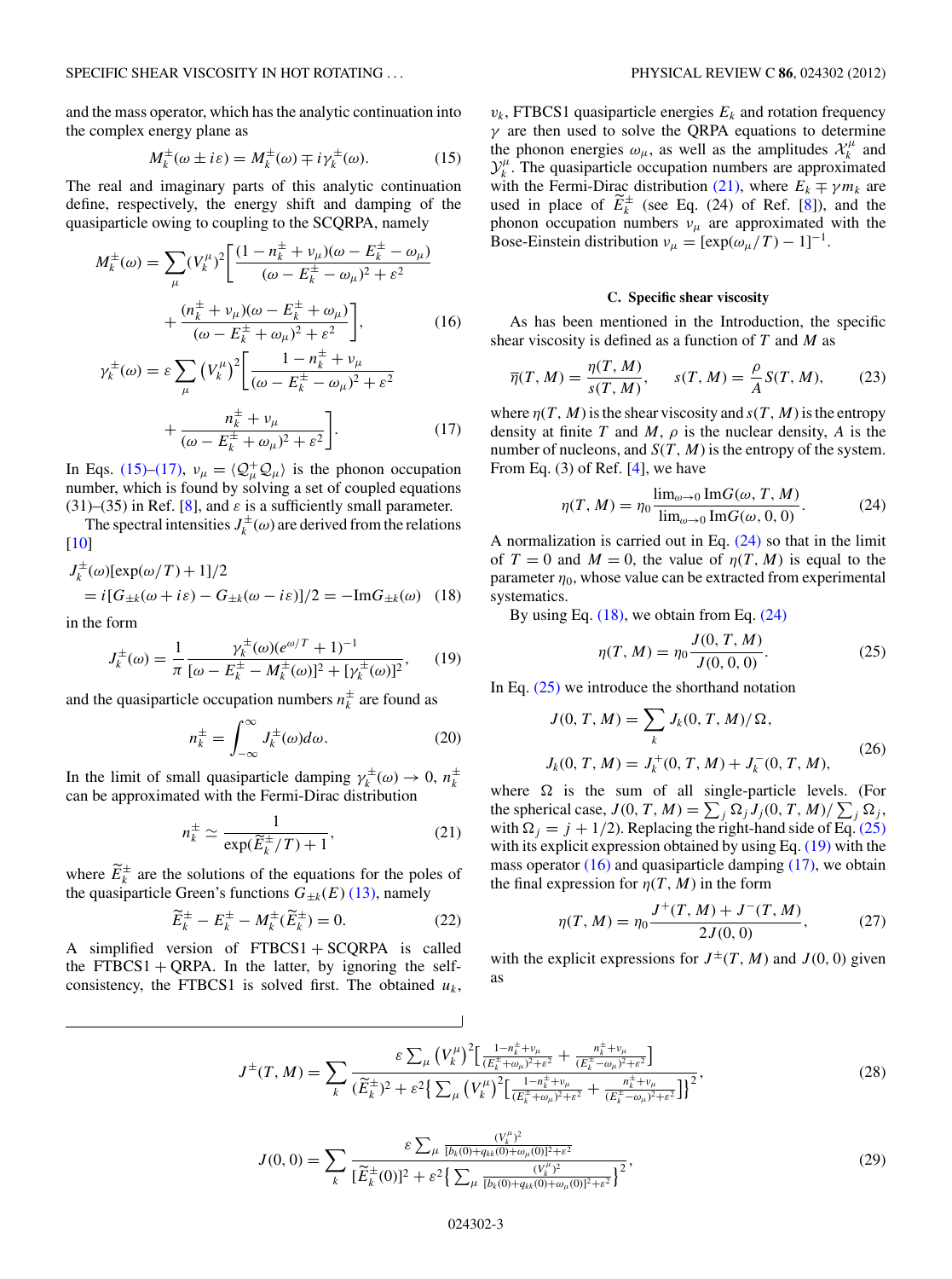<span id="page-2-0"></span>and the mass operator, which has the analytic continuation into the complex energy plane as

$$
M_k^{\pm}(\omega \pm i\varepsilon) = M_k^{\pm}(\omega) \mp i\gamma_k^{\pm}(\omega). \tag{15}
$$

The real and imaginary parts of this analytic continuation define, respectively, the energy shift and damping of the quasiparticle owing to coupling to the SCQRPA, namely

$$
M_k^{\pm}(\omega) = \sum_{\mu} (V_k^{\mu})^2 \left[ \frac{(1 - n_k^{\pm} + v_{\mu})(\omega - E_k^{\pm} - \omega_{\mu})}{(\omega - E_k^{\pm} - \omega_{\mu})^2 + \varepsilon^2} + \frac{(n_k^{\pm} + v_{\mu})(\omega - E_k^{\pm} + \omega_{\mu})}{(\omega - E_k^{\pm} + \omega_{\mu})^2 + \varepsilon^2} \right],
$$
 (16)

$$
\gamma_k^{\pm}(\omega) = \varepsilon \sum_{\mu} \left( V_k^{\mu} \right)^2 \left[ \frac{1 - n_k^{\pm} + v_{\mu}}{(\omega - E_k^{\pm} - \omega_{\mu})^2 + \varepsilon^2} + \frac{n_k^{\pm} + v_{\mu}}{(\omega - E_k^{\pm} + \omega_{\mu})^2 + \varepsilon^2} \right].
$$
\n(17)

In Eqs. (15)–(17),  $v_{\mu} = \langle Q_{\mu}^{+}Q_{\mu} \rangle$  is the phonon occupation number, which is found by solving a set of coupled equations (31)–(35) in Ref. [\[8\]](#page-6-0), and  $\varepsilon$  is a sufficiently small parameter.

The spectral intensities  $J_k^{\pm}(\omega)$  are derived from the relations [\[10\]](#page-6-0)

$$
J_k^{\pm}(\omega)[\exp(\omega/T) + 1]/2
$$
  
=  $i[G_{\pm k}(\omega + i\varepsilon) - G_{\pm k}(\omega - i\varepsilon)]/2 = -\text{Im}G_{\pm k}(\omega)$  (18)

in the form

$$
J_k^{\pm}(\omega) = \frac{1}{\pi} \frac{\gamma_k^{\pm}(\omega)(e^{\omega/T} + 1)^{-1}}{[\omega - E_k^{\pm} - M_k^{\pm}(\omega)]^2 + [\gamma_k^{\pm}(\omega)]^2},\qquad(19)
$$

and the quasiparticle occupation numbers  $n_k^{\pm}$  are found as

$$
n_k^{\pm} = \int_{-\infty}^{\infty} J_k^{\pm}(\omega) d\omega.
$$
 (20)

In the limit of small quasiparticle damping  $\gamma_k^{\pm}(\omega) \to 0$ ,  $n_k^{\pm}$ can be approximated with the Fermi-Dirac distribution

$$
n_k^{\pm} \simeq \frac{1}{\exp(\widetilde{E}_k^{\pm}/T) + 1},\tag{21}
$$

where  $E_k^{\pm}$  are the solutions of the equations for the poles of the quasiparticle Green's functions  $G_{\pm k}(E)$  [\(13\),](#page-1-0) namely

$$
\widetilde{E}_k^{\pm} - E_k^{\pm} - M_k^{\pm}(\widetilde{E}_k^{\pm}) = 0.
$$
 (22)

A simplified version of  $FTBCS1 + SCQRPA$  is called the FTBCS1 + QRPA. In the latter, by ignoring the selfconsistency, the FTBCS1 is solved first. The obtained  $u_k$ ,  $v_k$ , FTBCS1 quasiparticle energies  $E_k$  and rotation frequency *γ* are then used to solve the QRPA equations to determine the phonon energies  $\omega_{\mu}$ , as well as the amplitudes  $\mathcal{X}_{k}^{\mu}$  and  $\mathcal{Y}_k^{\mu}$ . The quasiparticle occupation numbers are approximated with the Fermi-Dirac distribution (21), where  $E_k \mp \gamma m_k$  are used in place of  $E_k^{\pm}$  (see Eq. (24) of Ref. [\[8\]](#page-6-0)), and the phonon occupation numbers  $v_\mu$  are approximated with the Bose-Einstein distribution  $v_{\mu} = [\exp(\omega_{\mu}/T) - 1]^{-1}$ .

## **C. Specific shear viscosity**

As has been mentioned in the Introduction, the specific shear viscosity is defined as a function of *T* and *M* as

$$
\overline{\eta}(T, M) = \frac{\eta(T, M)}{s(T, M)}, \qquad s(T, M) = \frac{\rho}{A} S(T, M), \tag{23}
$$

where  $n(T, M)$  is the shear viscosity and  $s(T, M)$  is the entropy density at finite *T* and *M*,  $\rho$  is the nuclear density, *A* is the number of nucleons, and  $S(T, M)$  is the entropy of the system. From Eq. (3) of Ref. [\[4\]](#page-6-0), we have

$$
\eta(T, M) = \eta_0 \frac{\lim_{\omega \to 0} \text{Im}G(\omega, T, M)}{\lim_{\omega \to 0} \text{Im}G(\omega, 0, 0)}.
$$
 (24)

A normalization is carried out in Eq.  $(24)$  so that in the limit of  $T = 0$  and  $M = 0$ , the value of  $\eta(T, M)$  is equal to the parameter  $\eta_0$ , whose value can be extracted from experimental systematics.

By using Eq. (18), we obtain from Eq. (24)

$$
\eta(T, M) = \eta_0 \frac{J(0, T, M)}{J(0, 0, 0)}.
$$
\n(25)

In Eq. (25) we introduce the shorthand notation

$$
J(0, T, M) = \sum_{k} J_{k}(0, T, M)/\Omega,
$$
  

$$
J_{k}(0, T, M) = J_{k}^{+}(0, T, M) + J_{k}^{-}(0, T, M),
$$
 (26)

where  $\Omega$  is the sum of all single-particle levels. (For the spherical case,  $J(0, T, M) = \sum_j \Omega_j J_j(0, T, M) / \sum_j \Omega_j$ , with  $\Omega_i = j + 1/2$ ). Replacing the right-hand side of Eq. (25) with its explicit expression obtained by using Eq. (19) with the mass operator  $(16)$  and quasiparticle damping  $(17)$ , we obtain the final expression for  $\eta(T, M)$  in the form

$$
\eta(T, M) = \eta_0 \frac{J^+(T, M) + J^-(T, M)}{2J(0, 0)},
$$
\n(27)

with the explicit expressions for  $J^{\pm}(T, M)$  and  $J(0, 0)$  given as

$$
J^{\pm}(T,M) = \sum_{k} \frac{\varepsilon \sum_{\mu} (V_{k}^{\mu})^{2} \left[ \frac{1 - n_{k}^{\pm} + \nu_{\mu}}{(E_{k}^{\pm} + \omega_{\mu})^{2} + \varepsilon^{2}} + \frac{n_{k}^{\pm} + \nu_{\mu}}{(E_{k}^{\pm} - \omega_{\mu})^{2} + \varepsilon^{2}} \right]}{\left( \widetilde{E}_{k}^{\pm} \right)^{2} + \varepsilon^{2} \left\{ \sum_{\mu} (V_{k}^{\mu})^{2} \left[ \frac{1 - n_{k}^{\pm} + \nu_{\mu}}{(E_{k}^{\pm} + \omega_{\mu})^{2} + \varepsilon^{2}} + \frac{n_{k}^{\pm} + \nu_{\mu}}{(E_{k}^{\pm} - \omega_{\mu})^{2} + \varepsilon^{2}} \right] \right\}^{2}},
$$
\n(28)

$$
J(0,0) = \sum_{k} \frac{\varepsilon \sum_{\mu} \frac{(V_k^{\mu})^2}{[b_k(0) + q_{kk}(0) + \omega_{\mu}(0)]^2 + \varepsilon^2}}{\left[\widetilde{E}_k^{\pm}(0)\right]^2 + \varepsilon^2 \left\{\sum_{\mu} \frac{(V_k^{\mu})^2}{[b_k(0) + q_{kk}(0) + \omega_{\mu}(0)]^2 + \varepsilon^2}\right\}^2},\tag{29}
$$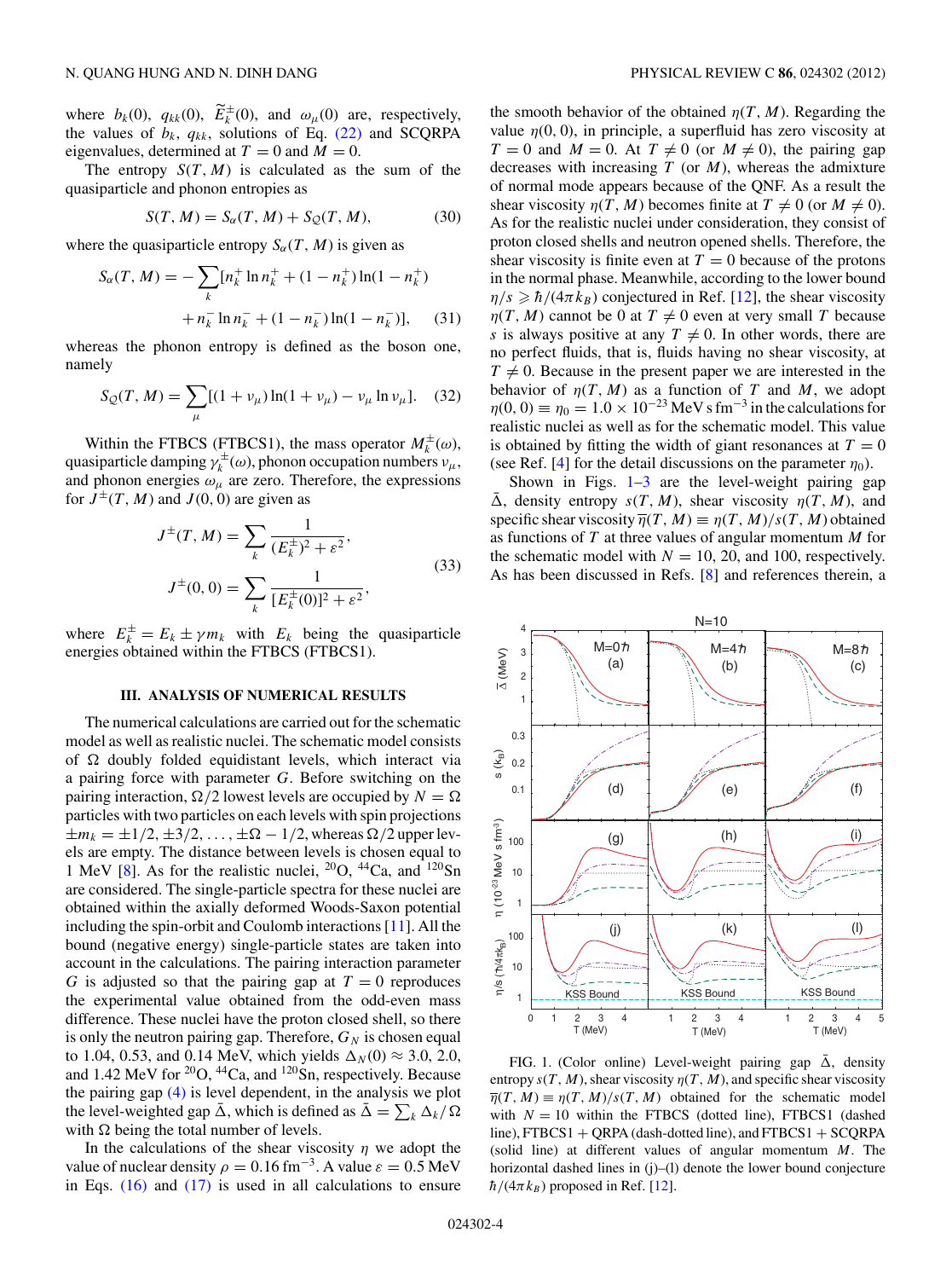<span id="page-3-0"></span>where  $b_k(0)$ ,  $q_{kk}(0)$ ,  $E_k^{\pm}(0)$ , and  $\omega_\mu(0)$  are, respectively, the values of  $b_k$ ,  $q_{kk}$ , solutions of Eq. [\(22\)](#page-2-0) and SCQRPA eigenvalues, determined at  $T = 0$  and  $M = 0$ .

The entropy  $S(T, M)$  is calculated as the sum of the quasiparticle and phonon entropies as

$$
S(T, M) = S_{\alpha}(T, M) + S_{\mathcal{Q}}(T, M), \tag{30}
$$

where the quasiparticle entropy  $S_{\alpha}(T, M)$  is given as

$$
S_{\alpha}(T, M) = -\sum_{k} [n_{k}^{+} \ln n_{k}^{+} + (1 - n_{k}^{+}) \ln(1 - n_{k}^{+})
$$

$$
+ n_{k}^{-} \ln n_{k}^{-} + (1 - n_{k}^{-}) \ln(1 - n_{k}^{-})], \qquad (31)
$$

whereas the phonon entropy is defined as the boson one, namely

$$
S_{\mathcal{Q}}(T, M) = \sum_{\mu} [(1 + v_{\mu}) \ln(1 + v_{\mu}) - v_{\mu} \ln v_{\mu}]. \quad (32)
$$

Within the FTBCS (FTBCS1), the mass operator  $M_k^{\pm}(\omega)$ , quasiparticle damping  $\gamma_k^{\pm}(\omega)$ , phonon occupation numbers  $\nu_\mu$ , and phonon energies  $\omega_{\mu}$  are zero. Therefore, the expressions for  $J^{\pm}(T, M)$  and  $J(0, 0)$  are given as

$$
J^{\pm}(T, M) = \sum_{k} \frac{1}{(E_{k}^{\pm})^2 + \varepsilon^2},
$$
  

$$
J^{\pm}(0, 0) = \sum_{k} \frac{1}{[E_{k}^{\pm}(0)]^2 + \varepsilon^2},
$$
(33)

where  $E_k^{\pm} = E_k \pm \gamma m_k$  with  $E_k$  being the quasiparticle energies obtained within the FTBCS (FTBCS1).

## **III. ANALYSIS OF NUMERICAL RESULTS**

The numerical calculations are carried out for the schematic model as well as realistic nuclei. The schematic model consists of  $\Omega$  doubly folded equidistant levels, which interact via a pairing force with parameter *G*. Before switching on the pairing interaction,  $\Omega/2$  lowest levels are occupied by  $N = \Omega$ particles with two particles on each levels with spin projections  $\pm m_k = \pm 1/2, \pm 3/2, \ldots, \pm \Omega - 1/2$ , whereas  $\Omega/2$  upper levels are empty. The distance between levels is chosen equal to 1 MeV [\[8\]](#page-6-0). As for the realistic nuclei,  ${}^{20}O$ ,  ${}^{44}Ca$ , and  ${}^{120}Sn$ are considered. The single-particle spectra for these nuclei are obtained within the axially deformed Woods-Saxon potential including the spin-orbit and Coulomb interactions [\[11\]](#page-6-0). All the bound (negative energy) single-particle states are taken into account in the calculations. The pairing interaction parameter *G* is adjusted so that the pairing gap at  $T = 0$  reproduces the experimental value obtained from the odd-even mass difference. These nuclei have the proton closed shell, so there is only the neutron pairing gap. Therefore,  $G_N$  is chosen equal to 1.04, 0.53, and 0.14 MeV, which yields  $\Delta_N(0) \approx 3.0, 2.0$ , and 1.42 MeV for <sup>20</sup>O, <sup>44</sup>Ca, and <sup>120</sup>Sn, respectively. Because the pairing gap [\(4\)](#page-1-0) is level dependent, in the analysis we plot the level-weighted gap  $\bar{\Delta}$ , which is defined as  $\bar{\Delta} = \sum_{k} \Delta_k / \Omega$ with  $\Omega$  being the total number of levels.

In the calculations of the shear viscosity  $\eta$  we adopt the value of nuclear density  $\rho = 0.16$  fm<sup>-3</sup>. A value  $\varepsilon = 0.5$  MeV in Eqs.  $(16)$  and  $(17)$  is used in all calculations to ensure

the smooth behavior of the obtained  $\eta(T, M)$ . Regarding the value  $\eta(0, 0)$ , in principle, a superfluid has zero viscosity at  $T = 0$  and  $M = 0$ . At  $T \neq 0$  (or  $M \neq 0$ ), the pairing gap decreases with increasing *T* (or *M*), whereas the admixture of normal mode appears because of the QNF. As a result the shear viscosity  $\eta(T, M)$  becomes finite at  $T \neq 0$  (or  $M \neq 0$ ). As for the realistic nuclei under consideration, they consist of proton closed shells and neutron opened shells. Therefore, the shear viscosity is finite even at  $T = 0$  because of the protons in the normal phase. Meanwhile, according to the lower bound  $\eta/s \geq \hbar/(4\pi k_B)$  conjectured in Ref. [\[12\]](#page-6-0), the shear viscosity *η*(*T*, *M*) cannot be 0 at  $T \neq 0$  even at very small *T* because *s* is always positive at any  $T \neq 0$ . In other words, there are no perfect fluids, that is, fluids having no shear viscosity, at  $T \neq 0$ . Because in the present paper we are interested in the behavior of  $\eta(T, M)$  as a function of *T* and *M*, we adopt  $\eta(0, 0) = \eta_0 = 1.0 \times 10^{-23} \,\text{MeV s fm}^{-3}$  in the calculations for realistic nuclei as well as for the schematic model. This value is obtained by fitting the width of giant resonances at  $T = 0$ (see Ref. [\[4\]](#page-6-0) for the detail discussions on the parameter  $\eta_0$ ).

Shown in Figs.  $1-3$  are the level-weight pairing gap  $\overline{\Delta}$ , density entropy  $s(T, M)$ , shear viscosity  $\eta(T, M)$ , and specific shear viscosity  $\overline{\eta}(T, M) \equiv \eta(T, M)/s(T, M)$  obtained as functions of *T* at three values of angular momentum *M* for the schematic model with  $N = 10, 20,$  and 100, respectively. As has been discussed in Refs. [\[8\]](#page-6-0) and references therein, a



FIG. 1. (Color online) Level-weight pairing gap  $\bar{\Delta}$ , density entropy  $s(T, M)$ , shear viscosity  $\eta(T, M)$ , and specific shear viscosity  $\overline{\eta}(T, M) \equiv \eta(T, M)/s(T, M)$  obtained for the schematic model with  $N = 10$  within the FTBCS (dotted line), FTBCS1 (dashed  $line$ ), FTBCS1 + QRPA (dash-dotted line), and FTBCS1 + SCQRPA (solid line) at different values of angular momentum *M*. The horizontal dashed lines in (j)–(l) denote the lower bound conjecture  $\hbar/(4\pi k_B)$  proposed in Ref. [\[12\]](#page-6-0).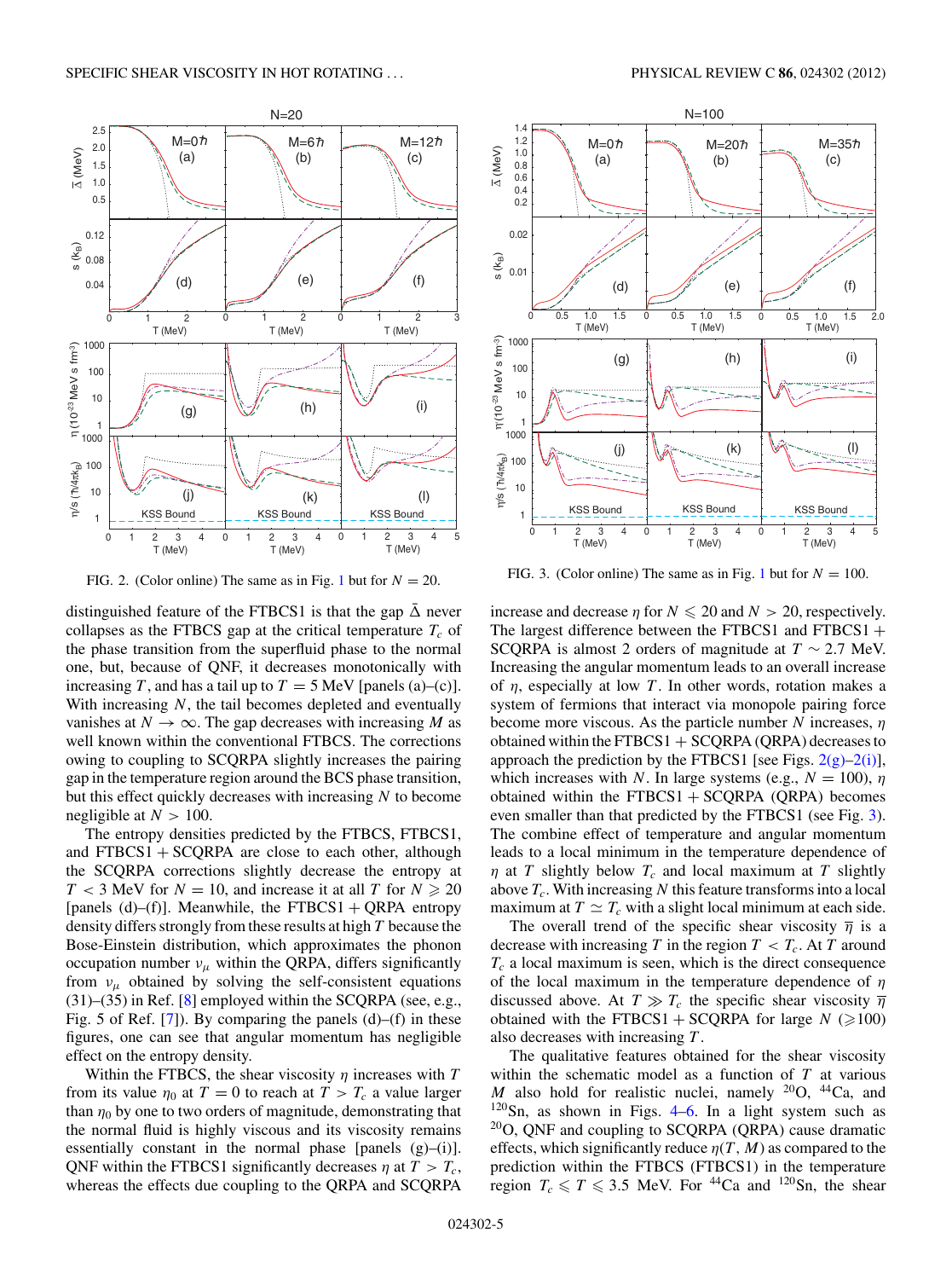

FIG. 2. (Color online) The same as in Fig. [1](#page-3-0) but for  $N = 20$ .

distinguished feature of the FTBCS1 is that the gap  $\bar{\Delta}$  never collapses as the FTBCS gap at the critical temperature  $T_c$  of the phase transition from the superfluid phase to the normal one, but, because of QNF, it decreases monotonically with increasing *T*, and has a tail up to  $T = 5$  MeV [panels (a)–(c)]. With increasing *N*, the tail becomes depleted and eventually vanishes at  $N \to \infty$ . The gap decreases with increasing *M* as well known within the conventional FTBCS. The corrections owing to coupling to SCQRPA slightly increases the pairing gap in the temperature region around the BCS phase transition, but this effect quickly decreases with increasing *N* to become negligible at  $N > 100$ .

The entropy densities predicted by the FTBCS, FTBCS1, and  $FTBCS1 + SCQRPA$  are close to each other, although the SCQRPA corrections slightly decrease the entropy at  $T < 3$  MeV for  $N = 10$ , and increase it at all *T* for  $N \ge 20$ [panels (d)–(f)]. Meanwhile, the FTBCS1 + QRPA entropy density differs strongly from these results at high *T* because the Bose-Einstein distribution, which approximates the phonon occupation number  $v_{\mu}$  within the QRPA, differs significantly from  $v_\mu$  obtained by solving the self-consistent equations  $(31)$ – $(35)$  in Ref. [\[8\]](#page-6-0) employed within the SCQRPA (see, e.g., Fig. 5 of Ref. [\[7\]](#page-6-0)). By comparing the panels (d)–(f) in these figures, one can see that angular momentum has negligible effect on the entropy density.

Within the FTBCS, the shear viscosity  $\eta$  increases with  $T$ from its value  $\eta_0$  at  $T = 0$  to reach at  $T > T_c$  a value larger than  $\eta_0$  by one to two orders of magnitude, demonstrating that the normal fluid is highly viscous and its viscosity remains essentially constant in the normal phase [panels  $(g)$ –(i)]. QNF within the FTBCS1 significantly decreases  $\eta$  at  $T > T_c$ , whereas the effects due coupling to the QRPA and SCQRPA

<span id="page-4-0"></span>

FIG. 3. (Color online) The same as in Fig. [1](#page-3-0) but for  $N = 100$ .

T (MeV)

T (MeV)

T (MeV)

increase and decrease  $\eta$  for  $N \le 20$  and  $N > 20$ , respectively. The largest difference between the FTBCS1 and FTBCS1  $+$ SCQRPA is almost 2 orders of magnitude at  $T \sim 2.7$  MeV. Increasing the angular momentum leads to an overall increase of *η*, especially at low *T* . In other words, rotation makes a system of fermions that interact via monopole pairing force become more viscous. As the particle number *N* increases, *η* obtained within the FTBCS1  $+$  SCQRPA (QRPA) decreases to approach the prediction by the FTBCS1 [see Figs.  $2(g)-2(i)$ ], which increases with *N*. In large systems (e.g.,  $N = 100$ ),  $\eta$ obtained within the  $FTBCS1 + SCQRPA$  (QRPA) becomes even smaller than that predicted by the FTBCS1 (see Fig. 3). The combine effect of temperature and angular momentum leads to a local minimum in the temperature dependence of *η* at *T* slightly below  $T_c$  and local maximum at *T* slightly above  $T_c$ . With increasing N this feature transforms into a local maximum at  $T \simeq T_c$  with a slight local minimum at each side.

The overall trend of the specific shear viscosity  $\overline{\eta}$  is a decrease with increasing *T* in the region  $T < T_c$ . At *T* around  $T_c$  a local maximum is seen, which is the direct consequence of the local maximum in the temperature dependence of *η* discussed above. At  $T \gg T_c$  the specific shear viscosity  $\overline{\eta}$ obtained with the FTBCS1 + SCQRPA for large  $N \approx 100$ ) also decreases with increasing *T* .

The qualitative features obtained for the shear viscosity within the schematic model as a function of *T* at various *M* also hold for realistic nuclei, namely  $^{20}O$ ,  $^{44}Ca$ , and  $120$ Sn, as shown in Figs. [4–6.](#page-5-0) In a light system such as  $20$ O, QNF and coupling to SCQRPA (QRPA) cause dramatic effects, which significantly reduce  $\eta(T, M)$  as compared to the prediction within the FTBCS (FTBCS1) in the temperature region  $T_c \le T \le 3.5$  MeV. For <sup>44</sup>Ca and <sup>120</sup>Sn, the shear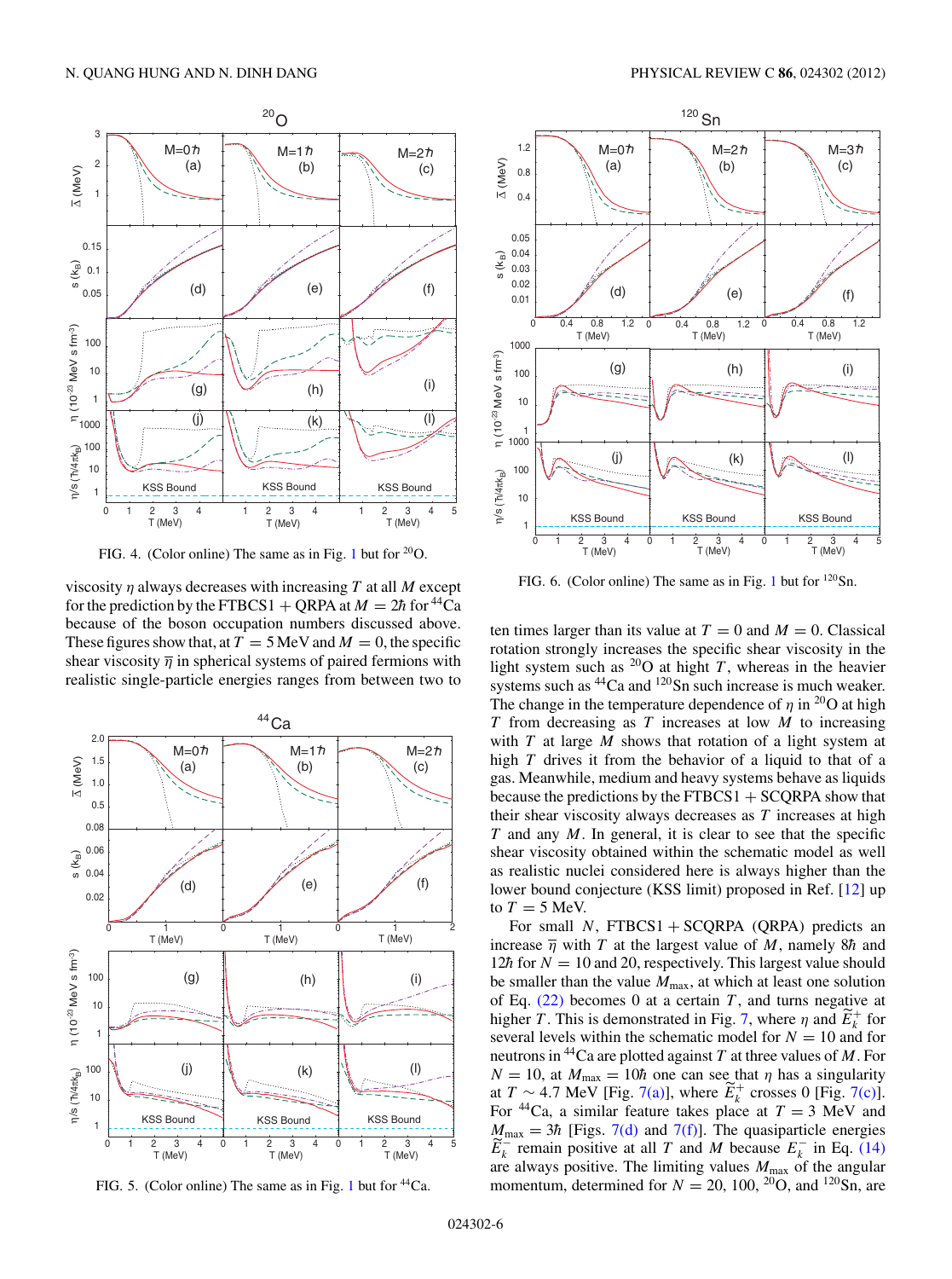<span id="page-5-0"></span>

FIG. 4. (Color online) The same as in Fig. [1](#page-3-0) but for  $^{20}O$ .

viscosity *η* always decreases with increasing *T* at all *M* except for the prediction by the FTBCS1 + ORPA at  $M = 2h$  for <sup>44</sup>Ca because of the boson occupation numbers discussed above. These figures show that, at  $T = 5$  MeV and  $M = 0$ , the specific shear viscosity  $\overline{\eta}$  in spherical systems of paired fermions with realistic single-particle energies ranges from between two to



FIG. 5. (Color online) The same as in Fig. [1](#page-3-0) but for  $^{44}Ca$ .



FIG. 6. (Color online) The same as in Fig. [1](#page-3-0) but for <sup>120</sup>Sn.

ten times larger than its value at  $T = 0$  and  $M = 0$ . Classical rotation strongly increases the specific shear viscosity in the light system such as  $^{20}$ O at hight *T*, whereas in the heavier systems such as <sup>44</sup>Ca and <sup>120</sup>Sn such increase is much weaker. The change in the temperature dependence of  $\eta$  in <sup>20</sup>O at high *T* from decreasing as *T* increases at low *M* to increasing with *T* at large *M* shows that rotation of a light system at high *T* drives it from the behavior of a liquid to that of a gas. Meanwhile, medium and heavy systems behave as liquids because the predictions by the  $FTBCS1 + SCORPA$  show that their shear viscosity always decreases as *T* increases at high *T* and any *M*. In general, it is clear to see that the specific shear viscosity obtained within the schematic model as well as realistic nuclei considered here is always higher than the lower bound conjecture (KSS limit) proposed in Ref. [\[12\]](#page-6-0) up to  $T = 5$  MeV.

For small *N*, FTBCS1 + SCQRPA (QRPA) predicts an increase  $\overline{\eta}$  with *T* at the largest value of *M*, namely 8*h* and 12 $\hbar$  for  $N = 10$  and 20, respectively. This largest value should be smaller than the value  $M_{\text{max}}$ , at which at least one solution of Eq. [\(22\)](#page-2-0) becomes 0 at a certain *T* , and turns negative at higher *T*. This is demonstrated in Fig. [7,](#page-6-0) where  $\eta$  and  $E_k^+$  for several levels within the schematic model for  $N = 10$  and for neutrons in 44Ca are plotted against *T* at three values of *M*. For  $N = 10$ , at  $M_{\text{max}} = 10\hbar$  one can see that  $\eta$  has a singularity at *T* ∼ 4.7 MeV [Fig. [7\(a\)\]](#page-6-0), where  $E_k^+$  crosses 0 [Fig. [7\(c\)\]](#page-6-0). For <sup>44</sup>Ca, a similar feature takes place at  $T = 3$  MeV and  $M_{\text{max}} = 3\hbar$  [Figs. [7\(d\)](#page-6-0) and [7\(f\)\]](#page-6-0). The quasiparticle energies  $E_k^-$  remain positive at all *T* and *M* because  $E_k^-$  in Eq. [\(14\)](#page-1-0) are always positive. The limiting values  $M_{\text{max}}$  of the angular momentum, determined for  $N = 20$ , 100, <sup>20</sup>O, and <sup>120</sup>Sn, are